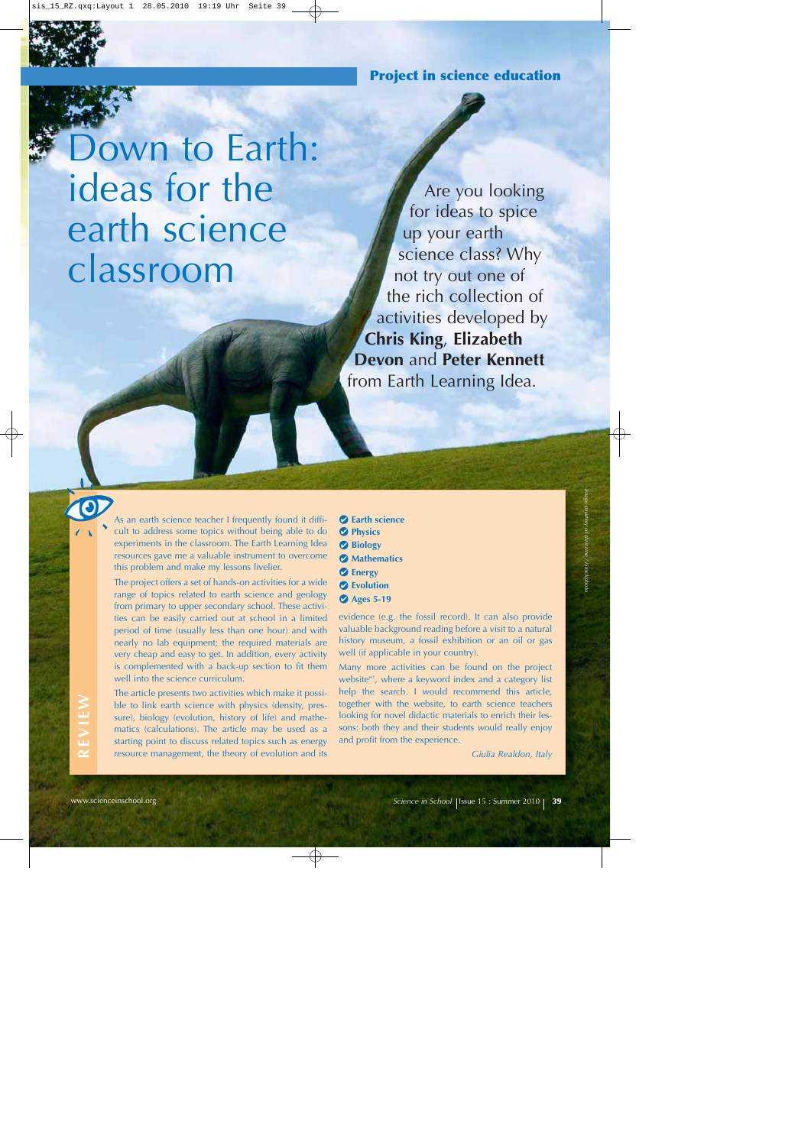**Project in science education**

Down to Earth: ideas for the earth science classroom

Are you looking for ideas to spice up your earth science class? Why not try out one of the rich collection of activities developed by **Chris King**, **Elizabeth Devon** and **Peter Kennett** from Earth Learning Idea.

As an earth science teacher I frequently found it difficult to address some topics without being able to do experiments in the classroom. The Earth Learning Idea resources gave me a valuable instrument to overcome this problem and make my lessons livelier.

The project offers a set of hands-on activities for a wide range of topics related to earth science and geology from primary to upper secondary school. These activities can be easily carried out at school in a limited period of time (usually less than one hour) and with nearly no lab equipment; the required materials are very cheap and easy to get. In addition, every activity is complemented with a back-up section to fit them well into the science curriculum.

The article presents two activities which make it possible to link earth science with physics (density, pressure), biology (evolution, history of life) and mathematics (calculations). The article may be used as a starting point to discuss related topics such as energy resource management, the theory of evolution and its

- **Earth science**
- **Physics**
- **Biology**
- **Mathematics**
- **Energy**
- **Evolution**
- **Ages 5-19**

evidence (e.g. the fossil record). It can also provide valuable background reading before a visit to a natural history museum, a fossil exhibition or an oil or gas well (if applicable in your country).

Many more activities can be found on the project website $w<sup>n</sup>$ , where a keyword index and a category list help the search. I would recommend this article, together with the website, to earth science teachers looking for novel didactic materials to enrich their lessons: both they and their students would really enjoy and profit from the experience.

*Giulia Realdon, Italy*

*Image courtesy of shrizzine / iStockphoto*

**REVIEW** REVIEW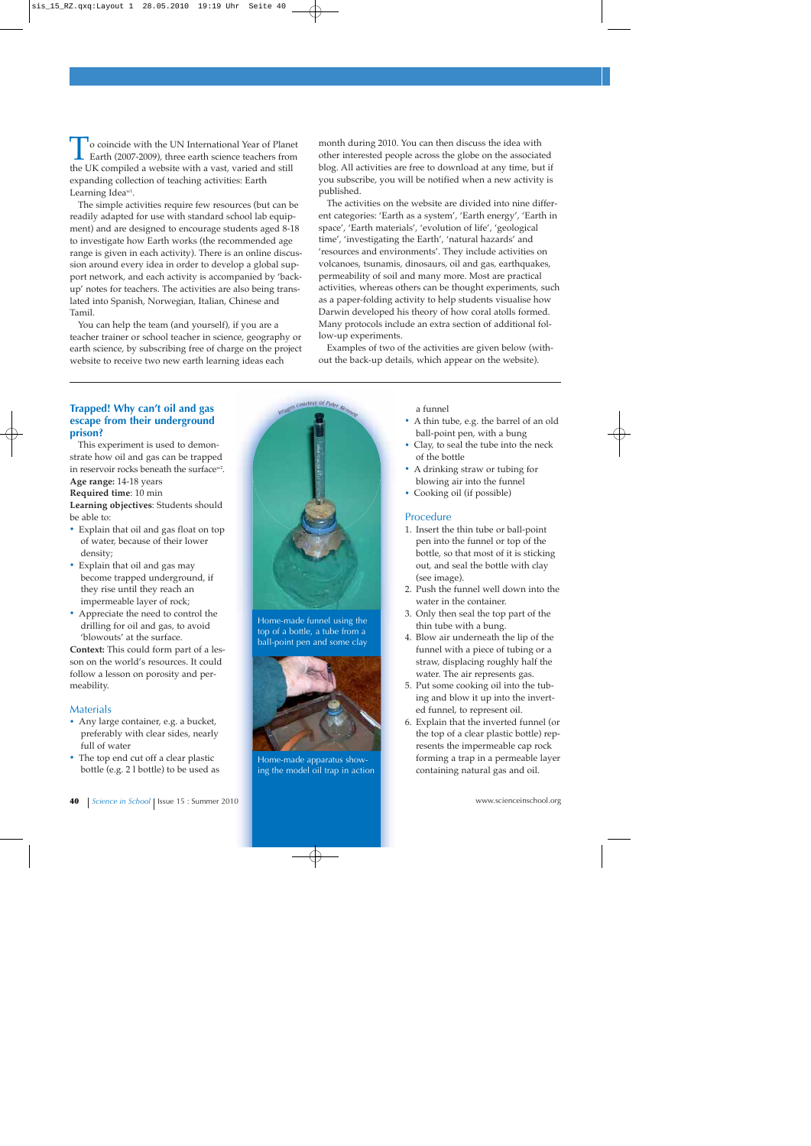o coincide with the UN International Year of Planet Earth (2007-2009), three earth science teachers from the UK compiled a website with a vast, varied and still expanding collection of teaching activities: Earth Learning Idea<sup>w1</sup>.

The simple activities require few resources (but can be readily adapted for use with standard school lab equipment) and are designed to encourage students aged 8-18 to investigate how Earth works (the recommended age range is given in each activity). There is an online discussion around every idea in order to develop a global support network, and each activity is accompanied by 'backup' notes for teachers. The activities are also being translated into Spanish, Norwegian, Italian, Chinese and Tamil.

You can help the team (and yourself), if you are a teacher trainer or school teacher in science, geography or earth science, by subscribing free of charge on the project website to receive two new earth learning ideas each

month during 2010. You can then discuss the idea with other interested people across the globe on the associated blog. All activities are free to download at any time, but if you subscribe, you will be notified when a new activity is published.

The activities on the website are divided into nine different categories: 'Earth as a system', 'Earth energy', 'Earth in space', 'Earth materials', 'evolution of life', 'geological time', 'investigating the Earth', 'natural hazards' and 'resources and environments'. They include activities on volcanoes, tsunamis, dinosaurs, oil and gas, earthquakes, permeability of soil and many more. Most are practical activities, whereas others can be thought experiments, such as a paper-folding activity to help students visualise how Darwin developed his theory of how coral atolls formed. Many protocols include an extra section of additional follow-up experiments.

Examples of two of the activities are given below (without the back-up details, which appear on the website).

# **Trapped! Why can't oil and gas escape from their underground prison?**

This experiment is used to demonstrate how oil and gas can be trapped in reservoir rocks beneath the surface<sup>w2</sup>. **Age range:** 14-18 years

**Required time**: 10 min

**Learning objectives**: Students should be able to:

- **·** Explain that oil and gas float on top of water, because of their lower density;
- **·** Explain that oil and gas may become trapped underground, if they rise until they reach an impermeable layer of rock;
- **·** Appreciate the need to control the drilling for oil and gas, to avoid 'blowouts' at the surface.

**Context:** This could form part of a lesson on the world's resources. It could follow a lesson on porosity and permeability.

## **Materials**

- **·** Any large container, e.g. a bucket, preferably with clear sides, nearly full of water
- **·** The top end cut off a clear plastic bottle (e.g. 2 l bottle) to be used as



Home-made funnel using the top of a bottle, a tube from a ball-point pen and some clay



Home-made apparatus showing the model oil trap in action

#### a funnel

- **·** A thin tube, e.g. the barrel of an old ball-point pen, with a bung
- **·** Clay, to seal the tube into the neck of the bottle
- **·** A drinking straw or tubing for blowing air into the funnel
- **·** Cooking oil (if possible)

# Procedure

- 1. Insert the thin tube or ball-point pen into the funnel or top of the bottle, so that most of it is sticking out, and seal the bottle with clay (see image).
- 2. Push the funnel well down into the water in the container.
- 3. Only then seal the top part of the thin tube with a bung.
- 4. Blow air underneath the lip of the funnel with a piece of tubing or a straw, displacing roughly half the water. The air represents gas.
- 5. Put some cooking oil into the tubing and blow it up into the inverted funnel, to represent oil.
- 6. Explain that the inverted funnel (or the top of a clear plastic bottle) represents the impermeable cap rock forming a trap in a permeable layer containing natural gas and oil.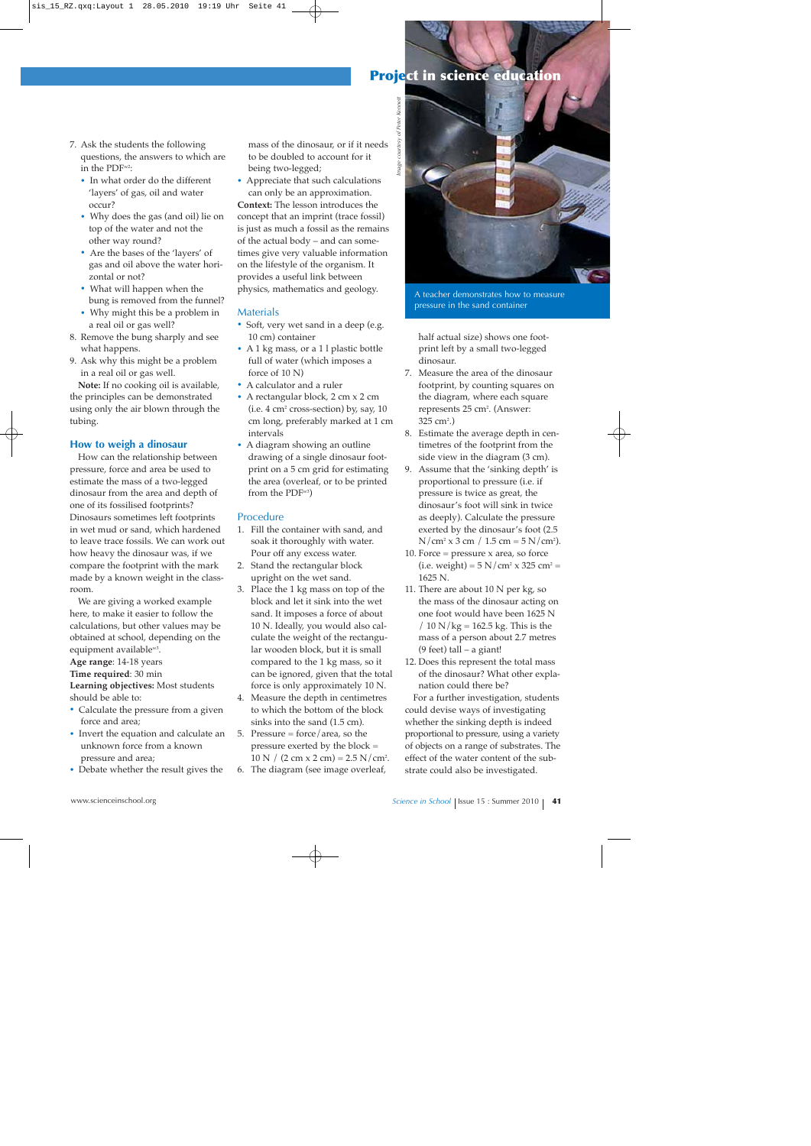# **Project in science education**

- 7. Ask the students the following questions, the answers to which are in the PDFw2:
	- **·** In what order do the different 'layers' of gas, oil and water occur?
	- **·** Why does the gas (and oil) lie on top of the water and not the other way round?
	- **·** Are the bases of the 'layers' of gas and oil above the water horizontal or not?
	- **·** What will happen when the bung is removed from the funnel?
	- **·** Why might this be a problem in a real oil or gas well?
- 8. Remove the bung sharply and see what happens.
- 9. Ask why this might be a problem in a real oil or gas well.

**Note:** If no cooking oil is available, the principles can be demonstrated using only the air blown through the tubing.

## **How to weigh a dinosaur**

How can the relationship between pressure, force and area be used to estimate the mass of a two-legged dinosaur from the area and depth of one of its fossilised footprints? Dinosaurs sometimes left footprints in wet mud or sand, which hardened to leave trace fossils. We can work out how heavy the dinosaur was, if we compare the footprint with the mark made by a known weight in the classroom.

We are giving a worked example here, to make it easier to follow the calculations, but other values may be obtained at school, depending on the equipment available<sup>w3</sup>.

**Age range**: 14-18 years

**Time required**: 30 min

**Learning objectives:** Most students should be able to:

- **·** Calculate the pressure from a given force and area;
- **·** Invert the equation and calculate an unknown force from a known pressure and area;
- **·** Debate whether the result gives the

mass of the dinosaur, or if it needs to be doubled to account for it being two-legged;

**·** Appreciate that such calculations can only be an approximation. **Context:** The lesson introduces the concept that an imprint (trace fossil) is just as much a fossil as the remains of the actual body – and can sometimes give very valuable information on the lifestyle of the organism. It provides a useful link between physics, mathematics and geology.

# **Materials**

- **·** Soft, very wet sand in a deep (e.g. 10 cm) container
- **·** A 1 kg mass, or a 1 l plastic bottle full of water (which imposes a force of 10 N)
- **·** A calculator and a ruler
- **·** A rectangular block, 2 cm x 2 cm  $(i.e. 4 cm<sup>2</sup> cross-section) by, say, 10$ cm long, preferably marked at 1 cm intervals
- **·** A diagram showing an outline drawing of a single dinosaur footprint on a 5 cm grid for estimating the area (overleaf, or to be printed from the  $PDF^{w3}$ )

# Procedure

- 1. Fill the container with sand, and soak it thoroughly with water. Pour off any excess water.
- 2. Stand the rectangular block upright on the wet sand.
- 3. Place the 1 kg mass on top of the block and let it sink into the wet sand. It imposes a force of about 10 N. Ideally, you would also calculate the weight of the rectangular wooden block, but it is small compared to the 1 kg mass, so it can be ignored, given that the total force is only approximately 10 N.
- 4. Measure the depth in centimetres to which the bottom of the block sinks into the sand (1.5 cm).
- 5. Pressure = force/area, so the pressure exerted by the block =  $10 \text{ N}$  /  $(2 \text{ cm} \times 2 \text{ cm}) = 2.5 \text{ N} / \text{ cm}^2$ .
- 6. The diagram (see image overleaf,



A teacher demonstrates how to measure pressure in the sand container

half actual size) shows one footprint left by a small two-legged dinosaur.

- 7. Measure the area of the dinosaur footprint, by counting squares on the diagram, where each square represents 25 cm<sup>2</sup>. (Answer: 325 cm<sup>2</sup>.)
- 8. Estimate the average depth in centimetres of the footprint from the side view in the diagram (3 cm).
- 9. Assume that the 'sinking depth' is proportional to pressure (i.e. if pressure is twice as great, the dinosaur's foot will sink in twice as deeply). Calculate the pressure exerted by the dinosaur's foot (2.5  $N/cm<sup>2</sup> x 3 cm / 1.5 cm = 5 N/cm<sup>2</sup>$ ).
- 10. Force  $=$  pressure  $x$  area, so force (i.e. weight) =  $5 N/cm^2 \times 325 cm^2 =$ 1625 N.
- 11. There are about  $10 \text{ N}$  per kg, so the mass of the dinosaur acting on one foot would have been 1625 N  $/ 10$  N/kg = 162.5 kg. This is the mass of a person about 2.7 metres (9 feet) tall  $-$  a giant!
- 12. Does this represent the total mass of the dinosaur? What other explanation could there be?

For a further investigation, students could devise ways of investigating whether the sinking depth is indeed proportional to pressure, using a variety of objects on a range of substrates. The effect of the water content of the substrate could also be investigated.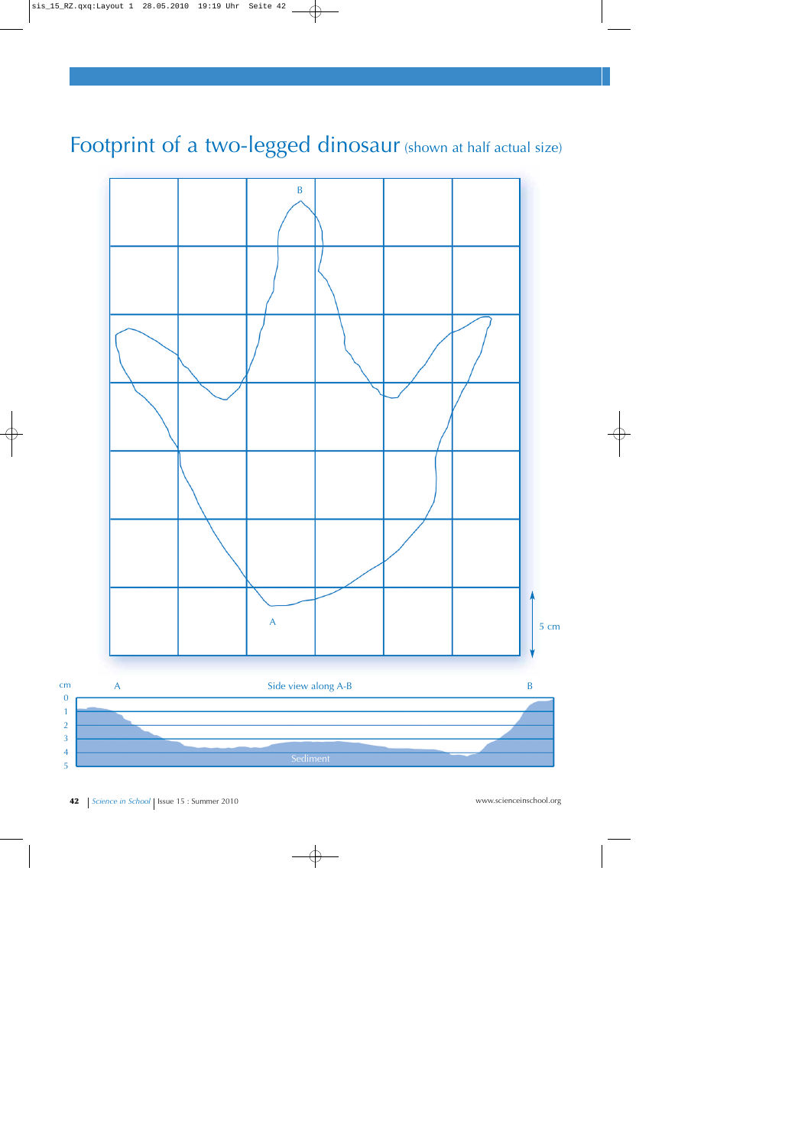# Footprint of a two-legged dinosaur (shown at half actual size)